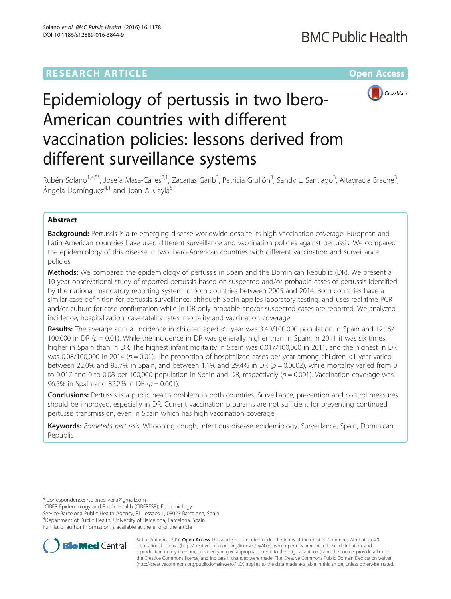# **RESEARCH ARTICLE Example 2014 12:30 The Company Access** (RESEARCH ARTICLE



# Epidemiology of pertussis in two Ibero-American countries with different vaccination policies: lessons derived from different surveillance systems

Rubén Solano<sup>1,4,5\*</sup>, Josefa Masa-Calles<sup>2,1</sup>, Zacarías Garib<sup>3</sup>, Patricia Grullón<sup>3</sup>, Sandy L. Santiago<sup>3</sup>, Altagracia Brache<sup>3</sup> , Ángela Domínguez $4,1$  and Joan A. Caylà<sup>5,1</sup>

# Abstract

**Background:** Pertussis is a re-emerging disease worldwide despite its high vaccination coverage. European and Latin-American countries have used different surveillance and vaccination policies against pertussis. We compared the epidemiology of this disease in two Ibero-American countries with different vaccination and surveillance policies.

Methods: We compared the epidemiology of pertussis in Spain and the Dominican Republic (DR). We present a 10-year observational study of reported pertussis based on suspected and/or probable cases of pertussis identified by the national mandatory reporting system in both countries between 2005 and 2014. Both countries have a similar case definition for pertussis surveillance, although Spain applies laboratory testing, and uses real time PCR and/or culture for case confirmation while in DR only probable and/or suspected cases are reported. We analyzed incidence, hospitalization, case-fatality rates, mortality and vaccination coverage.

Results: The average annual incidence in children aged <1 year was 3.40/100,000 population in Spain and 12.15/ 100,000 in DR ( $p = 0.01$ ). While the incidence in DR was generally higher than in Spain, in 2011 it was six times higher in Spain than in DR. The highest infant mortality in Spain was 0.017/100,000 in 2011, and the highest in DR was 0.08/100,000 in 2014 ( $p = 0.01$ ). The proportion of hospitalized cases per year among children <1 year varied between 22.0% and 93.7% in Spain, and between 1.1% and 29.4% in DR ( $p = 0.0002$ ), while mortality varied from 0 to 0.017 and 0 to 0.08 per 100,000 population in Spain and DR, respectively ( $p = 0.001$ ). Vaccination coverage was 96.5% in Spain and 82.2% in DR ( $p = 0.001$ ).

**Conclusions:** Pertussis is a public health problem in both countries. Surveillance, prevention and control measures should be improved, especially in DR. Current vaccination programs are not sufficient for preventing continued pertussis transmission, even in Spain which has high vaccination coverage.

Keywords: Bordetella pertussis, Whooping cough, Infectious disease epidemiology, Surveillance, Spain, Dominican Republic

<sup>1</sup>CIBER Epidemiology and Public Health (CIBERESP), Epidemiology

Service-Barcelona Public Health Agency, Pl. Lesseps 1, 08023 Barcelona, Spain 4 Department of Public Health, University of Barcelona, Barcelona, Spain Full list of author information is available at the end of the article



© The Author(s). 2016 Open Access This article is distributed under the terms of the Creative Commons Attribution 4.0 International License [\(http://creativecommons.org/licenses/by/4.0/](http://creativecommons.org/licenses/by/4.0/)), which permits unrestricted use, distribution, and reproduction in any medium, provided you give appropriate credit to the original author(s) and the source, provide a link to the Creative Commons license, and indicate if changes were made. The Creative Commons Public Domain Dedication waiver [\(http://creativecommons.org/publicdomain/zero/1.0/](http://creativecommons.org/publicdomain/zero/1.0/)) applies to the data made available in this article, unless otherwise stated.

<sup>\*</sup> Correspondence: [rsolanosilveira@gmail.com](mailto:rsolanosilveira@gmail.com) <sup>1</sup>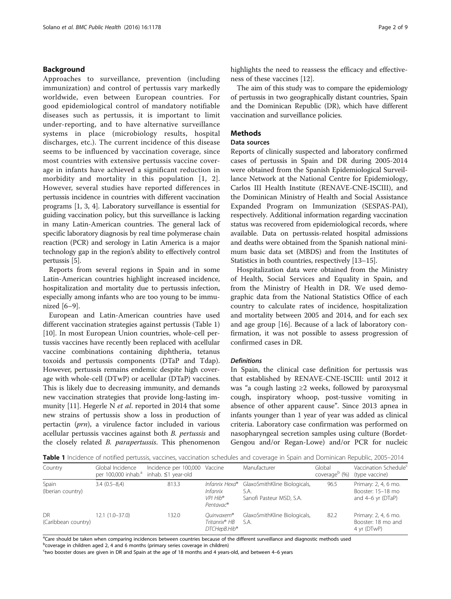# <span id="page-1-0"></span>Background

Approaches to surveillance, prevention (including immunization) and control of pertussis vary markedly worldwide, even between European countries. For good epidemiological control of mandatory notifiable diseases such as pertussis, it is important to limit under-reporting, and to have alternative surveillance systems in place (microbiology results, hospital discharges, etc.). The current incidence of this disease seems to be influenced by vaccination coverage, since most countries with extensive pertussis vaccine coverage in infants have achieved a significant reduction in morbidity and mortality in this population [[1, 2](#page-7-0)]. However, several studies have reported differences in pertussis incidence in countries with different vaccination programs [\[1](#page-7-0), [3](#page-7-0), [4](#page-7-0)]. Laboratory surveillance is essential for guiding vaccination policy, but this surveillance is lacking in many Latin-American countries. The general lack of specific laboratory diagnosis by real time polymerase chain reaction (PCR) and serology in Latin America is a major technology gap in the region's ability to effectively control pertussis [\[5](#page-7-0)].

Reports from several regions in Spain and in some Latin-American countries highlight increased incidence, hospitalization and mortality due to pertussis infection, especially among infants who are too young to be immunized [[6](#page-7-0)–[9](#page-7-0)].

European and Latin-American countries have used different vaccination strategies against pertussis (Table 1) [[10\]](#page-7-0). In most European Union countries, whole-cell pertussis vaccines have recently been replaced with acellular vaccine combinations containing diphtheria, tetanus toxoids and pertussis components (DTaP and Tdap). However, pertussis remains endemic despite high coverage with whole-cell (DTwP) or acellular (DTaP) vaccines. This is likely due to decreasing immunity, and demands new vaccination strategies that provide long-lasting im-munity [[11\]](#page-7-0). Hegerle N *et al.* reported in 2014 that some new strains of pertussis show a loss in production of pertactin (prn), a virulence factor included in various acellular pertussis vaccines against both B. pertussis and the closely related B. parapertussis. This phenomenon highlights the need to reassess the efficacy and effectiveness of these vaccines [\[12\]](#page-7-0).

The aim of this study was to compare the epidemiology of pertussis in two geographically distant countries, Spain and the Dominican Republic (DR), which have different vaccination and surveillance policies.

# **Methods**

# Data sources

Reports of clinically suspected and laboratory confirmed cases of pertussis in Spain and DR during 2005-2014 were obtained from the Spanish Epidemiological Surveillance Network at the National Centre for Epidemiology, Carlos III Health Institute (RENAVE-CNE-ISCIII), and the Dominican Ministry of Health and Social Assistance Expanded Program on Immunization (SESPAS-PAI), respectively. Additional information regarding vaccination status was recovered from epidemiological records, where available. Data on pertussis-related hospital admissions and deaths were obtained from the Spanish national minimum basic data set (MBDS) and from the Institutes of Statistics in both countries, respectively [\[13](#page-7-0)–[15](#page-7-0)].

Hospitalization data were obtained from the Ministry of Health, Social Services and Equality in Spain, and from the Ministry of Health in DR. We used demographic data from the National Statistics Office of each country to calculate rates of incidence, hospitalization and mortality between 2005 and 2014, and for each sex and age group [[16](#page-7-0)]. Because of a lack of laboratory confirmation, it was not possible to assess progression of confirmed cases in DR.

#### **Definitions**

In Spain, the clinical case definition for pertussis was that established by RENAVE-CNE-ISCIII: until 2012 it was "a cough lasting ≥2 weeks, followed by paroxysmal cough, inspiratory whoop, post-tussive vomiting in absence of other apparent cause". Since 2013 apnea in infants younger than 1 year of year was added as clinical criteria. Laboratory case confirmation was performed on nasopharyngeal secretion samples using culture (Bordet-Gengou and/or Regan-Lowe) and/or PCR for nucleic

Table 1 Incidence of notified pertussis, vaccines, vaccination schedules and coverage in Spain and Dominican Republic, 2005–2014

| Country                          | Global Incidence<br>per 100,000 inhab. <sup>a</sup> | Incidence per 100,000 Vaccine<br>inhab. ≤1 year-old |                                                                                    | Manufacturer                                                     | Global<br>coverage <sup>b</sup> (%) | Vaccination Schedule <sup>c</sup><br>(type vaccine)                  |
|----------------------------------|-----------------------------------------------------|-----------------------------------------------------|------------------------------------------------------------------------------------|------------------------------------------------------------------|-------------------------------------|----------------------------------------------------------------------|
| Spain<br>(Iberian country)       | $3.4(0.5-8.4)$                                      | 813.3                                               | Infanrix Hexa®<br><i>Infanrix</i><br>VPI Hib <sup>®</sup><br>Pentavac <sup>®</sup> | GlaxoSmithKline Biologicals,<br>S.A.<br>Sanofi Pasteur MSD, S.A. | 96.5                                | Primary: 2, 4, 6 mo.<br>Booster: 15-18 mo<br>and $4-6$ yr ( $DTaP$ ) |
| <b>DR</b><br>(Caribbean country) | $12.1(1.0-37.0)$                                    | 132.0                                               | Ouinvaxem®<br>Tritanrix <sup>®</sup> HB<br>DTCHepB.Hib®                            | GlaxoSmithKline Biologicals,<br>S.A.                             | 82.2                                | Primary: 2, 4, 6 mo.<br>Booster: 18 mo and<br>4 yr (DTwP)            |

<sup>a</sup>Care should be taken when comparing incidences between countries because of the different surveillance and diagnostic methods used

**b**coverage in children aged 2, 4 and 6 months (primary series coverage in children)

c two booster doses are given in DR and Spain at the age of 18 months and 4 years-old, and between 4–6 years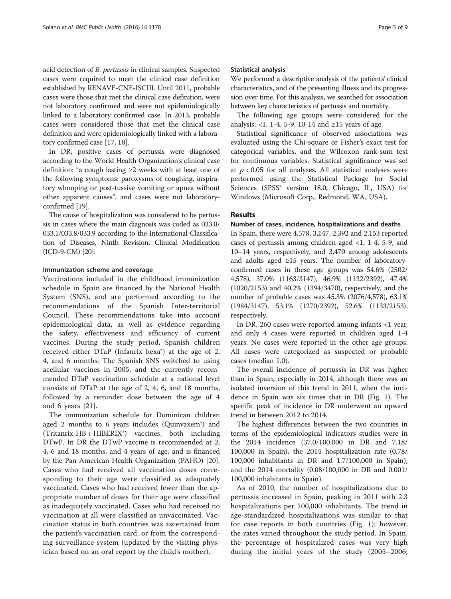acid detection of B. pertussis in clinical samples. Suspected cases were required to meet the clinical case definition established by RENAVE-CNE-ISCIII. Until 2011, probable cases were those that met the clinical case definition, were not laboratory confirmed and were not epidemiologically linked to a laboratory confirmed case. In 2013, probable cases were considered those that met the clinical case definition and were epidemiologically linked with a laboratory confirmed case [\[17](#page-7-0), [18](#page-7-0)].

In DR, positive cases of pertussis were diagnosed according to the World Health Organization's clinical case definition: "a cough lasting ≥2 weeks with at least one of the following symptoms: paroxysms of coughing, inspiratory whooping or post-tussive vomiting or apnea without other apparent causes", and cases were not laboratoryconfirmed [\[19](#page-7-0)].

The cause of hospitalization was considered to be pertussis in cases where the main diagnosis was coded as 033.0/ 033.1/033.8/033.9 according to the International Classification of Diseases, Ninth Revision, Clinical Modification (ICD-9-CM) [[20](#page-7-0)].

#### Immunization scheme and coverage

Vaccinations included in the childhood immunization schedule in Spain are financed by the National Health System (SNS), and are performed according to the recommendations of the Spanish Inter-territorial Council. These recommendations take into account epidemiological data, as well as evidence regarding the safety, effectiveness and efficiency of current vaccines. During the study period, Spanish children received either DTaP (Infanrix hexa®) at the age of 2, 4, and 6 months. The Spanish SNS switched to using acellular vaccines in 2005, and the currently recommended DTaP vaccination schedule at a national level consists of DTaP at the age of 2, 4, 6, and 18 months, followed by a reminder dose between the age of 4 and 6 years [\[21](#page-7-0)].

The immunization schedule for Dominican children aged 2 months to 6 years includes (Quinvaxem®) and (Tritanrix-HB + HIBERIX®) vaccines, both including DTwP. In DR the DTwP vaccine is recommended at 2, 4, 6 and 18 months, and 4 years of age, and is financed by the Pan American Health Organization (PAHO) [\[20](#page-7-0)]. Cases who had received all vaccination doses corresponding to their age were classified as adequately vaccinated. Cases who had received fewer than the appropriate number of doses for their age were classified as inadequately vaccinated. Cases who had received no vaccination at all were classified as unvaccinated. Vaccination status in both countries was ascertained from the patient's vaccination card, or from the corresponding surveillance system (updated by the visiting physician based on an oral report by the child's mother).

#### Statistical analysis

We performed a descriptive analysis of the patients' clinical characteristics, and of the presenting illness and its progression over time. For this analysis, we searched for association between key characteristics of pertussis and mortality.

The following age groups were considered for the analysis: <1, 1-4, 5-9, 10-14 and ≥15 years of age.

Statistical significance of observed associations was evaluated using the Chi-square or Fisher's exact test for categorical variables, and the Wilcoxon rank-sum test for continuous variables. Statistical significance was set at  $p < 0.05$  for all analyses. All statistical analyses were performed using the Statistical Package for Social Sciences (SPSS® version 18.0, Chicago, IL, USA) for Windows (Microsoft Corp., Redmond, WA, USA).

# Results

#### Number of cases, incidence, hospitalizations and deaths

In Spain, there were 4,578, 3,147, 2,392 and 2,153 reported cases of pertussis among children aged <1, 1-4, 5-9, and 10–14 years, respectively, and 3,470 among adolescents and adults aged  $\geq 15$  years. The number of laboratoryconfirmed cases in these age groups was 54.6% (2502/ 4,578), 37.0% (1163/3147), 46.9% (1122/2392), 47.4% (1020/2153) and 40.2% (1394/3470), respectively, and the number of probable cases was 45.3% (2076/4,578), 63.1% (1984/3147), 53.1% (1270/2392), 52.6% (1133/2153), respectively.

In DR, 260 cases were reported among infants <1 year, and only 4 cases were reported in children aged 1-4 years. No cases were reported in the other age groups. All cases were categorized as suspected or probable cases (median 1.0).

The overall incidence of pertussis in DR was higher than in Spain, especially in 2014, although there was an isolated inversion of this trend in 2011, when the incidence in Spain was six times that in DR (Fig. [1\)](#page-3-0). The specific peak of incidence in DR underwent an upward trend in between 2012 to 2014.

The highest differences between the two countries in terms of the epidemiological indicators studies were in the 2014 incidence (37.0/100,000 in DR and 7.18/ 100,000 in Spain), the 2014 hospitalization rate (0.78/ 100,000 inhabitants in DR and 1.7/100,000 in Spain), and the 2014 mortality (0.08/100,000 in DR and 0.001/ 100,000 inhabitants in Spain).

As of 2010, the number of hospitalizations due to pertussis increased in Spain, peaking in 2011 with 2.3 hospitalizations per 100,000 inhabitants. The trend in age-standardized hospitalizations was similar to that for case reports in both countries (Fig. [1\)](#page-3-0); however, the rates varied throughout the study period. In Spain, the percentage of hospitalized cases was very high during the initial years of the study (2005–2006;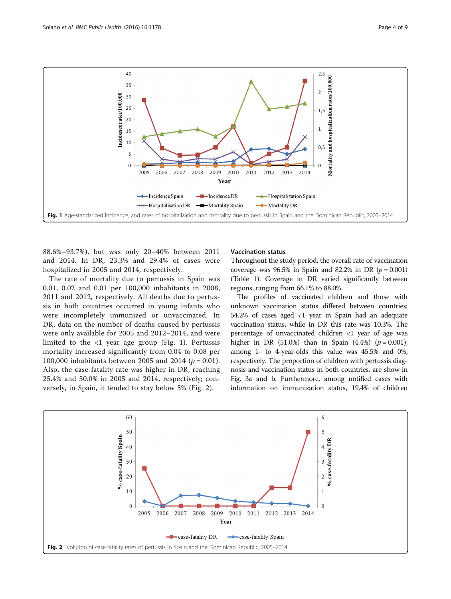<span id="page-3-0"></span>

88.6%–93.7%), but was only 20–40% between 2011 and 2014. In DR, 23.3% and 29.4% of cases were hospitalized in 2005 and 2014, respectively.

The rate of mortality due to pertussis in Spain was 0.01, 0.02 and 0.01 per 100,000 inhabitants in 2008, 2011 and 2012, respectively. All deaths due to pertussis in both countries occurred in young infants who were incompletely immunized or unvaccinated. In DR, data on the number of deaths caused by pertussis were only available for 2005 and 2012–2014, and were limited to the <1 year age group (Fig. 1). Pertussis mortality increased significantly from 0.04 to 0.08 per 100,000 inhabitants between 2005 and 2014 ( $p = 0.01$ ). Also, the case-fatality rate was higher in DR, reaching 25.4% and 50.0% in 2005 and 2014, respectively; conversely, in Spain, it tended to stay below 5% (Fig. 2).

#### Vaccination status

Throughout the study period, the overall rate of vaccination coverage was  $96.5\%$  in Spain and 82.2% in DR ( $p = 0.001$ ) (Table [1](#page-1-0)). Coverage in DR varied significantly between regions, ranging from 66.1% to 88.0%.

The profiles of vaccinated children and those with unknown vaccination status differed between countries; 54.2% of cases aged <1 year in Spain had an adequate vaccination status, while in DR this rate was 10.3%. The percentage of unvaccinated children <1 year of age was higher in DR (51.0%) than in Spain (4.4%)  $(p = 0.001)$ ; among 1- to 4-year-olds this value was 45.5% and 0%, respectively. The proportion of children with pertussis diagnosis and vaccination status in both countries, are show in Fig. [3a and b](#page-4-0). Furthermore, among notified cases with information on immunization status, 19.4% of children

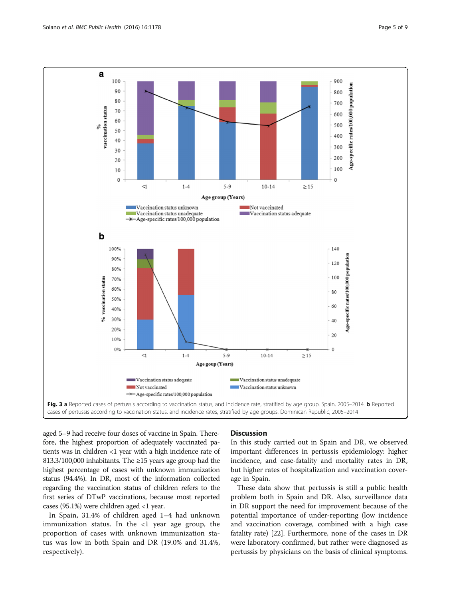<span id="page-4-0"></span>

aged 5–9 had receive four doses of vaccine in Spain. Therefore, the highest proportion of adequately vaccinated patients was in children <1 year with a high incidence rate of 813.3/100,000 inhabitants. The ≥15 years age group had the highest percentage of cases with unknown immunization status (94.4%). In DR, most of the information collected regarding the vaccination status of children refers to the first series of DTwP vaccinations, because most reported cases (95.1%) were children aged  $<$ 1 year.

In Spain, 31.4% of children aged 1–4 had unknown immunization status. In the  $\langle 1 \rangle$  year age group, the proportion of cases with unknown immunization status was low in both Spain and DR (19.0% and 31.4%, respectively).

#### **Discussion**

In this study carried out in Spain and DR, we observed important differences in pertussis epidemiology: higher incidence, and case-fatality and mortality rates in DR, but higher rates of hospitalization and vaccination coverage in Spain.

These data show that pertussis is still a public health problem both in Spain and DR. Also, surveillance data in DR support the need for improvement because of the potential importance of under-reporting (low incidence and vaccination coverage, combined with a high case fatality rate) [\[22](#page-7-0)]. Furthermore, none of the cases in DR were laboratory-confirmed, but rather were diagnosed as pertussis by physicians on the basis of clinical symptoms.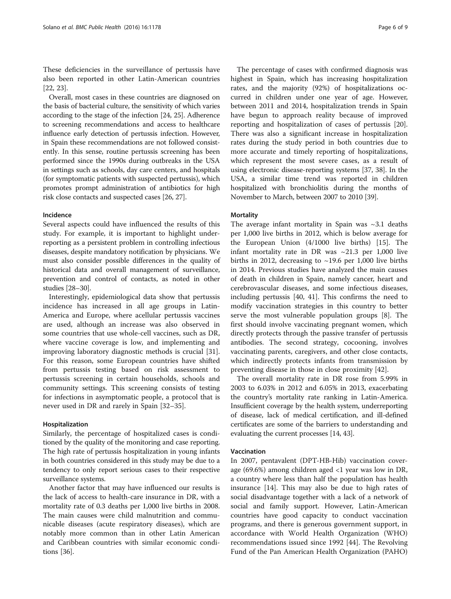These deficiencies in the surveillance of pertussis have also been reported in other Latin-American countries [[22, 23\]](#page-7-0).

Overall, most cases in these countries are diagnosed on the basis of bacterial culture, the sensitivity of which varies according to the stage of the infection [\[24, 25](#page-7-0)]. Adherence to screening recommendations and access to healthcare influence early detection of pertussis infection. However, in Spain these recommendations are not followed consistently. In this sense, routine pertussis screening has been performed since the 1990s during outbreaks in the USA in settings such as schools, day care centers, and hospitals (for symptomatic patients with suspected pertussis), which promotes prompt administration of antibiotics for high risk close contacts and suspected cases [\[26](#page-7-0), [27](#page-7-0)].

#### Incidence

Several aspects could have influenced the results of this study. For example, it is important to highlight underreporting as a persistent problem in controlling infectious diseases, despite mandatory notification by physicians. We must also consider possible differences in the quality of historical data and overall management of surveillance, prevention and control of contacts, as noted in other studies [\[28](#page-7-0)–[30](#page-8-0)].

Interestingly, epidemiological data show that pertussis incidence has increased in all age groups in Latin-America and Europe, where acellular pertussis vaccines are used, although an increase was also observed in some countries that use whole-cell vaccines, such as DR, where vaccine coverage is low, and implementing and improving laboratory diagnostic methods is crucial [\[31](#page-8-0)]. For this reason, some European countries have shifted from pertussis testing based on risk assessment to pertussis screening in certain households, schools and community settings. This screening consists of testing for infections in asymptomatic people, a protocol that is never used in DR and rarely in Spain [[32](#page-8-0)–[35](#page-8-0)].

#### Hospitalization

Similarly, the percentage of hospitalized cases is conditioned by the quality of the monitoring and case reporting. The high rate of pertussis hospitalization in young infants in both countries considered in this study may be due to a tendency to only report serious cases to their respective surveillance systems.

Another factor that may have influenced our results is the lack of access to health-care insurance in DR, with a mortality rate of 0.3 deaths per 1,000 live births in 2008. The main causes were child malnutrition and communicable diseases (acute respiratory diseases), which are notably more common than in other Latin American and Caribbean countries with similar economic conditions [[36\]](#page-8-0).

The percentage of cases with confirmed diagnosis was highest in Spain, which has increasing hospitalization rates, and the majority (92%) of hospitalizations occurred in children under one year of age. However, between 2011 and 2014, hospitalization trends in Spain have begun to approach reality because of improved reporting and hospitalization of cases of pertussis [\[20](#page-7-0)]. There was also a significant increase in hospitalization rates during the study period in both countries due to more accurate and timely reporting of hospitalizations, which represent the most severe cases, as a result of using electronic disease-reporting systems [\[37, 38\]](#page-8-0). In the USA, a similar time trend was reported in children hospitalized with bronchiolitis during the months of November to March, between 2007 to 2010 [[39](#page-8-0)].

#### **Mortality**

The average infant mortality in Spain was  $\sim$ 3.1 deaths per 1,000 live births in 2012, which is below average for the European Union (4/1000 live births) [\[15](#page-7-0)]. The infant mortality rate in DR was  $\sim$ 21.3 per 1,000 live births in 2012, decreasing to  $\sim$ 19.6 per 1,000 live births in 2014. Previous studies have analyzed the main causes of death in children in Spain, namely cancer, heart and cerebrovascular diseases, and some infectious diseases, including pertussis [[40](#page-8-0), [41\]](#page-8-0). This confirms the need to modify vaccination strategies in this country to better serve the most vulnerable population groups [\[8\]](#page-7-0). The first should involve vaccinating pregnant women, which directly protects through the passive transfer of pertussis antibodies. The second strategy, cocooning, involves vaccinating parents, caregivers, and other close contacts, which indirectly protects infants from transmission by preventing disease in those in close proximity [\[42](#page-8-0)].

The overall mortality rate in DR rose from 5.99% in 2003 to 6.03% in 2012 and 6.05% in 2013, exacerbating the country's mortality rate ranking in Latin-America. Insufficient coverage by the health system, underreporting of disease, lack of medical certification, and ill-defined certificates are some of the barriers to understanding and evaluating the current processes [[14,](#page-7-0) [43\]](#page-8-0).

#### Vaccination

In 2007, pentavalent (DPT-HB-Hib) vaccination coverage (69.6%) among children aged <1 year was low in DR, a country where less than half the population has health insurance [[14\]](#page-7-0). This may also be due to high rates of social disadvantage together with a lack of a network of social and family support. However, Latin-American countries have good capacity to conduct vaccination programs, and there is generous government support, in accordance with World Health Organization (WHO) recommendations issued since 1992 [\[44](#page-8-0)]. The Revolving Fund of the Pan American Health Organization (PAHO)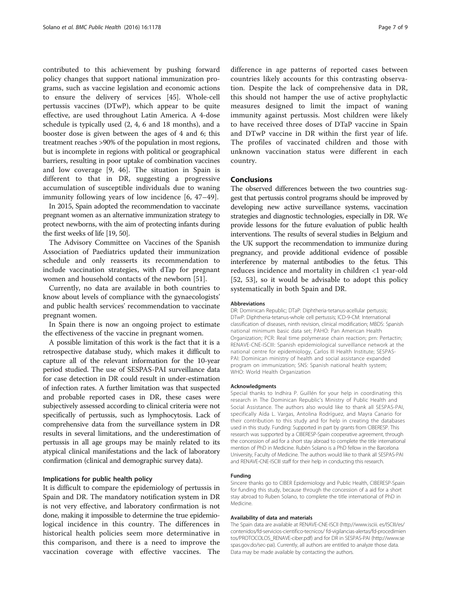contributed to this achievement by pushing forward policy changes that support national immunization programs, such as vaccine legislation and economic actions to ensure the delivery of services [\[45](#page-8-0)]. Whole-cell pertussis vaccines (DTwP), which appear to be quite effective, are used throughout Latin America. A 4-dose schedule is typically used (2, 4, 6 and 18 months), and a booster dose is given between the ages of 4 and 6; this treatment reaches >90% of the population in most regions, but is incomplete in regions with political or geographical barriers, resulting in poor uptake of combination vaccines and low coverage [\[9](#page-7-0), [46](#page-8-0)]. The situation in Spain is different to that in DR, suggesting a progressive accumulation of susceptible individuals due to waning immunity following years of low incidence [\[6](#page-7-0), [47](#page-8-0)–[49](#page-8-0)].

In 2015, Spain adopted the recommendation to vaccinate pregnant women as an alternative immunization strategy to protect newborns, with the aim of protecting infants during the first weeks of life [\[19](#page-7-0), [50\]](#page-8-0).

The Advisory Committee on Vaccines of the Spanish Association of Paediatrics updated their immunization schedule and only reasserts its recommendation to include vaccination strategies, with dTap for pregnant women and household contacts of the newborn [\[51](#page-8-0)].

Currently, no data are available in both countries to know about levels of compliance with the gynaecologists' and public health services' recommendation to vaccinate pregnant women.

In Spain there is now an ongoing project to estimate the effectiveness of the vaccine in pregnant women.

A possible limitation of this work is the fact that it is a retrospective database study, which makes it difficult to capture all of the relevant information for the 10-year period studied. The use of SESPAS-PAI surveillance data for case detection in DR could result in under-estimation of infection rates. A further limitation was that suspected and probable reported cases in DR, these cases were subjectively assessed according to clinical criteria were not specifically of pertussis, such as lymphocytosis. Lack of comprehensive data from the surveillance system in DR results in several limitations, and the underestimation of pertussis in all age groups may be mainly related to its atypical clinical manifestations and the lack of laboratory confirmation (clinical and demographic survey data).

## Implications for public health policy

It is difficult to compare the epidemiology of pertussis in Spain and DR. The mandatory notification system in DR is not very effective, and laboratory confirmation is not done, making it impossible to determine the true epidemiological incidence in this country. The differences in historical health policies seem more determinative in this comparison, and there is a need to improve the vaccination coverage with effective vaccines. The difference in age patterns of reported cases between countries likely accounts for this contrasting observation. Despite the lack of comprehensive data in DR, this should not hamper the use of active prophylactic measures designed to limit the impact of waning immunity against pertussis. Most children were likely to have received three doses of DTaP vaccine in Spain and DTwP vaccine in DR within the first year of life. The profiles of vaccinated children and those with unknown vaccination status were different in each country.

## Conclusions

The observed differences between the two countries suggest that pertussis control programs should be improved by developing new active surveillance systems, vaccination strategies and diagnostic technologies, especially in DR. We provide lessons for the future evaluation of public health interventions. The results of several studies in Belgium and the UK support the recommendation to immunize during pregnancy, and provide additional evidence of possible interference by maternal antibodies to the fetus. This reduces incidence and mortality in children <1 year-old [[52, 53\]](#page-8-0), so it would be advisable to adopt this policy systematically in both Spain and DR.

#### Abbreviations

DR: Dominican Republic; DTaP: Diphtheria-tetanus-acellular pertussis; DTwP: Diphtheria-tetanus-whole cell pertussis; ICD-9-CM: International classification of diseases, ninth revision, clinical modification; MBDS: Spanish national minimum basic data set; PAHO: Pan American Health Organization; PCR: Real time polymerase chain reaction; prn: Pertactin; RENAVE-CNE-ISCIII: Spanish epidemiological surveillance network at the national centre for epidemiology, Carlos III Health Institute; SESPAS-PAI: Dominican ministry of health and social assistance expanded program on immunization; SNS: Spanish national health system; WHO: World Health Organization

#### Acknowledgments

Special thanks to Indhira P. Guillén for your help in coordinating this research in The Dominican Republic's Ministry of Public Health and Social Assistance. The authors also would like to thank all SESPAS-PAI, specifically Aída L. Vargas, Antolina Rodríguez, and Mayra Canario for their contribution to this study and for help in creating the databases used in this study. Funding: Supported in part by grants from CIBERESP. This research was supported by a CIBERESP-Spain cooperative agreement, through the concession of aid for a short stay abroad to complete the title international mention of PhD in Medicine. Rubén Solano is a PhD fellow in the Barcelona University, Faculty of Medicine. The authors would like to thank all SESPAS-PAI and RENAVE-CNE-ISCIII staff for their help in conducting this research.

#### Funding

Sincere thanks go to CIBER Epidemiology and Public Health, CIBERESP-Spain for funding this study, because through the concession of a aid for a short stay abroad to Ruben Solano, to complete the title international of PhD in Medicine.

#### Availability of data and materials

The Spain data are available at RENAVE-CNE-ISCII ([http://www.isciii.](http://www.isciii/) es/ISCIII/es/ contenidos/fd-servicios-cientifico-tecnicos/ fd-vigilancias-alertas/fd-procedimien tos/PROTOCOLOS\_RENAVE-ciber.pdf) and for DR in SESPAS-PAI ([http://www.se](http://www.sespas.gov.do/sec-pai) [spas.gov.do/sec-pai](http://www.sespas.gov.do/sec-pai)). Currently, all authors are entitled to analyze those data. Data may be made available by contacting the authors.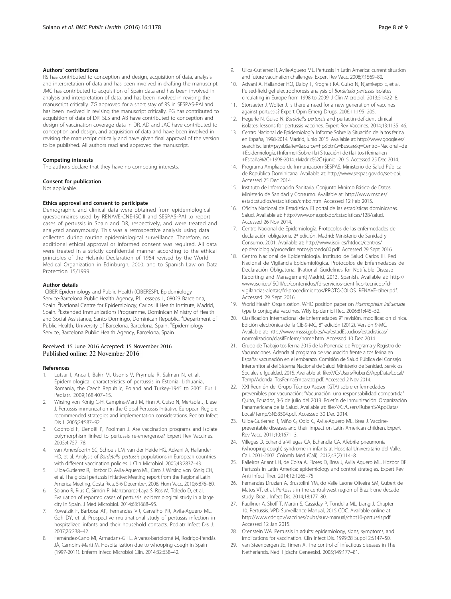#### <span id="page-7-0"></span>Authors' contributions

RS has contributed to conception and design, acquisition of data, analysis and interpretation of data and has been involved in drafting the manuscript. JMC has contributed to acquisition of Spain data and has been involved in analysis and interpretation of data, and has been involved in revising the manuscript critically. ZG approved for a short stay of RS in SESPAS-PAI and has been involved in revising the manuscript critically. PG has contributed to acquisition of data of DR. SLS and AB have contributed to conception and design of vaccination coverage data in DR. AD and JAC have contributed to conception and design, and acquisition of data and have been involved in revising the manuscript critically and have given final approval of the version to be published. All authors read and approved the manuscript.

#### Competing interests

The authors declare that they have no competing interests.

#### Consent for publication

Not applicable.

#### Ethics approval and consent to participate

Demographic and clinical data were obtained from epidemiological questionnaires used by RENAVE-CNE-ISCIII and SESPAS-PAI to report cases of pertussis in Spain and DR, respectively, and were treated and analyzed anonymously. This was a retrospective analysis using data collected during routine epidemiological surveillance. Therefore, no additional ethical approval or informed consent was required. All data were treated in a strictly confidential manner according to the ethical principles of the Helsinki Declaration of 1964 revised by the World Medical Organization in Edinburgh, 2000, and to Spanish Law on Data Protection 15/1999.

#### Author details

<sup>1</sup>CIBER Epidemiology and Public Health (CIBERESP), Epidemiology Service-Barcelona Public Health Agency, Pl. Lesseps 1, 08023 Barcelona, Spain. <sup>2</sup>National Centre for Epidemiology, Carlos III Health Institute, Madrid, Spain. <sup>3</sup>Extended Immunizations Programme, Dominican Ministry of Health and Social Assistance, Santo Domingo, Dominican Republic. <sup>4</sup>Department of Public Health, University of Barcelona, Barcelona, Spain. <sup>5</sup>Epidemiology Service, Barcelona Public Health Agency, Barcelona, Spain.

#### Received: 15 June 2016 Accepted: 15 November 2016 Published online: 22 November 2016

#### References

- Lutsar I, Anca I, Bakir M, Usonis V, Prymula R, Salman N, et al. Epidemiological characteristics of pertussis in Estonia, Lithuania, Romania, the Czech Republic, Poland and Turkey-1945 to 2005. Eur J Pediatr. 2009;168:407–15.
- 2. Wirsing von König C-H, Campins-Marti M, Finn A, Guiso N, Mertsola J, Liese J. Pertussis immunization in the Global Pertussis Initiative European Region: recommended strategies and implementation considerations. Pediatr Infect Dis J. 2005;24:S87–92.
- Godfroid F, Denoël P, Poolman J. Are vaccination programs and isolate polymorphism linked to pertussis re-emergence? Expert Rev Vaccines. 2005;4:757–78.
- 4. van Amersfoorth SC, Schouls LM, van der Heide HG, Advani A, Hallander HO, et al. Analysis of Bordetella pertussis populations in European countries with different vaccination policies. J Clin Microbiol. 2005;43:2837–43.
- 5. Ulloa-Gutierrez R, Hozbor D, Avila-Aguero ML, Caro J. Wirsing von König CH, et al. The global pertussis initiative: Meeting report from the Regional Latin America Meeting, Costa Rica, 5-6 December, 2008. Hum Vacc. 2010;6:876–80.
- Solano R, Rius C, Simón P, Manzanares-Laya S, Ros M, Toledo D, et al. Evaluation of reported cases of pertussis: epidemiological study in a large city in Spain. J Med Microbiol. 2014;63:1688–95.
- 7. Kowalzik F, Barbosa AP, Fernandes VR, Carvalho PR, Avila-Aguero ML, Goh DY, et al. Prospective multinational study of pertussis infection in hospitalized infants and their household contacts. Pediatr Infect Dis J. 2007;26:238–42.
- 8. Fernández-Cano MI, Armadans-Gil L, Alvarez-Bartolomé M, Rodrigo-Pendás JÁ, Campins-Martí M. Hospitalization due to whooping cough in Spain (1997-2011). Enferm Infecc Microbiol Clin. 2014;32:638–42.
- 9. Ulloa-Gutierrez R, Avila-Aguero ML. Pertussis in Latin America: current situation and future vaccination challenges. Expert Rev Vacc. 2008;7:1569–80.
- 10. Advani A, Hallander HO, Dalby T, Krogfelt KA, Guiso N, Njamkepo E, et al. Pulsed-field gel electrophoresis analysis of Bordetella pertussis isolates circulating in Europe from 1998 to 2009. J Clin Microbiol. 2013;51:422–8.
- 11. Storsaeter J, Wolter J. Is there a need for a new generation of vaccines against pertussis? Expert Opin Emerg Drugs. 2006;11:195–205.
- 12. Hegerle N, Guiso N. Bordetella pertussis and pertactin-deficient clinical isolates: lessons for pertussis vaccines. Expert Rev Vaccines. 2014;13:1135–46.
- 13. Centro Nacional de Epidemiología. Informe Sobre la Situación de la tos ferina en España, 1998-2014. Madrid, junio 2015. Available at: [http://www.google.es/](http://www.google.es/search?sclient=psyab&site=&source=hp&btnG=Buscar&q=Centro+Nacional+de+Epidemiologia.+Informe+Sobre+la+Situacion+de+la+tos+ferina+en+Espana%2C+1998-2014.+Madrid%2C+junio+2015) [search?sclient=psyab&site=&source=hp&btnG=Buscar&q=Centro+Nacional+de](http://www.google.es/search?sclient=psyab&site=&source=hp&btnG=Buscar&q=Centro+Nacional+de+Epidemiologia.+Informe+Sobre+la+Situacion+de+la+tos+ferina+en+Espana%2C+1998-2014.+Madrid%2C+junio+2015) [+Epidemiología.+Informe+Sobre+la+Situación+de+la+tos+ferina+en](http://www.google.es/search?sclient=psyab&site=&source=hp&btnG=Buscar&q=Centro+Nacional+de+Epidemiologia.+Informe+Sobre+la+Situacion+de+la+tos+ferina+en+Espana%2C+1998-2014.+Madrid%2C+junio+2015) [+España%2C+1998-2014.+Madrid%2C+junio+2015.](http://www.google.es/search?sclient=psyab&site=&source=hp&btnG=Buscar&q=Centro+Nacional+de+Epidemiologia.+Informe+Sobre+la+Situacion+de+la+tos+ferina+en+Espana%2C+1998-2014.+Madrid%2C+junio+2015) Accessed 25 Dec 2014.
- 14. Programa Ampliado de Inmunización-SESPAS. Ministerio de Salud Pública de República Dominicana. Available at: [http://www.sespas.gov.do/sec-pai.](http://www.sespas.gov.do/sec-pai) Accessed 25 Dec 2014.
- 15. Instituto de Información Sanitaria. Conjunto Mínimo Básico de Datos. Ministerio de Sanidad y Consumo. Available at: [http://www.msc.es/](http://www.msc.es/estadEstudios/estadisticas/cmbd.htm) [estadEstudios/estadisticas/cmbd.htm.](http://www.msc.es/estadEstudios/estadisticas/cmbd.htm) Accessed 12 Feb 2015.
- 16. Oficina Nacional de Estadística. El portal de las estadísticas dominicanas. Salud. Available at: [http://www.one.gob.do/Estadisticas/128/salud.](http://www.one.gob.do/Estadisticas/128/salud) Accessed 26 Nov 2014.
- 17. Centro Nacional de Epidemiología. Protocolos de las enfermedades de declaración obligatoria. 2ª edición. Madrid: Ministerio de Sanidad y Consumo, 2001. Available at: [http://www.isciii.es/htdocs/centros/](http://www.isciii.es/htdocs/centros/epidemiologia/procedimientos/proedo00.pdf) [epidemiologia/procedimientos/proedo00.pdf](http://www.isciii.es/htdocs/centros/epidemiologia/procedimientos/proedo00.pdf). Accessed 29 Sept 2016.
- 18. Centro Nacional de Epidemiología. Instituto de Salud Carlos III. Red Nacional de Vigilancia Epidemiológica. Protocolos de Enfermedades de Declaración Obligatoria. [National Guidelines for Notifiable Disease Reporting and Management].Madrid, 2013. Spanish. Available at: [http://](http://www.isciii.es/ISCIII/es/contenidos/fd-servicios-cientifico-tecnicos/fd-vigilancias-alertas/fd-procedimientos/PROTOCOLOS_RENAVE-ciber.pdf) [www.isciii.es/ISCIII/es/contenidos/fd-servicios-cientifico-tecnicos/fd](http://www.isciii.es/ISCIII/es/contenidos/fd-servicios-cientifico-tecnicos/fd-vigilancias-alertas/fd-procedimientos/PROTOCOLOS_RENAVE-ciber.pdf)[vigilancias-alertas/fd-procedimientos/PROTOCOLOS\\_RENAVE-ciber.pdf](http://www.isciii.es/ISCIII/es/contenidos/fd-servicios-cientifico-tecnicos/fd-vigilancias-alertas/fd-procedimientos/PROTOCOLOS_RENAVE-ciber.pdf). Accessed 29 Sept 2016.
- 19. World Health Organization. WHO position paper on Haemophilus influenzae type b conjugate vaccines. Wkly Epidemiol Rec. 2006;81:445–52.
- 20. Clasificación Internacional de Enfermedades 9° revisión, modificación clínica. Edición electrónica de la CIE-9-MC, 8° edición (2012). Versión 9-MC. Available at: [http://www.msssi.gob.es/va/estadEstudios/estadisticas/](http://www.msssi.gob.es/va/estadEstudios/estadisticas/normalizacion/clasifEnferm/home.htm) [normalizacion/clasifEnferm/home.htm.](http://www.msssi.gob.es/va/estadEstudios/estadisticas/normalizacion/clasifEnferm/home.htm) Accessed 10 Dec 2014.
- 21. Grupo de Trabajo tos ferina 2015 de la Ponencia de Programa y Registro de Vacunaciones. Adenda al programa de vacunación frente a tos ferina en España: vacunación en el embarazo. Comisión de Salud Pública del Consejo Interterritorial del Sistema Nacional de Salud. Ministerio de Sanidad, Servicios Sociales e Igualdad, 2015. Available at: file:///C:/Users/RubenS/AppData/Local/ Temp/Adenda\_TosFerinaEmbarazo.pdf. Accessed 2 Nov 2014.
- 22. XXI Reunión del Grupo Técnico Asesor (GTA) sobre enfermedades prevenibles por vacunación: "Vacunación: una responsabilidad compartida" Quito, Ecuador, 3-5 de julio del 2013. Boletín de Inmunización. Organización Panamericana de la Salud. Available at: file:///C:/Users/RubenS/AppData/ Local/Temp/SNS3504.pdf. Accessed 30 Dec 2014.
- 23. Ulloa-Gutierrez R, Miño G, Odio C, Avila-Aguero ML, Brea J. Vaccinepreventable diseases and their impact on Latin American children. Expert Rev Vacc. 2011;10:1671–3.
- 24. Villegas D, Echandía-Villegas CA, Echandía CA. Afebrile pneumonia (whooping cough) syndrome in infants at Hospital Universitario del Valle, Cali, 2001-2007. Colomb Med (Cali). 2012;43(2):114–8.
- 25. Falleiros Arlant LH, de Colsa A, Flores D, Brea J, Avila Aguero ML, Hozbor DF. Pertussis in Latin America: epidemiology and control strategies. Expert Rev Anti Infect Ther. 2014;12:1265–75.
- 26. Fernandes Druzian A, Brustolini YM, do Valle Leone Oliveira SM, Gubert de Matos VT, et al. Pertussis in the central-west región of Brazil: one decade study. Braz J Infect Dis. 2014;18:177–80.
- 27. Faulkner A, Skoff T, Martin S, Cassiday P, Tondella ML, Liang J. Chapter 10. Pertussis. VPD Surveillance Manual, 2015 CDC. Available online at: [http://www.cdc.gov/vaccines/pubs/surv-manual/chpt10-pertussis.pdf.](http://www.cdc.gov/vaccines/pubs/surv-manual/chpt10-pertussis.pdf) Accessed 12 Jan 2015.
- 28. Orenstein WA. Pertussis in adults: epidemiology, signs, symptoms, and implications for vaccination. Clin Infect Dis. 1999;28 Suppl 2:S147–50.
- 29. van Steenbergen JE, Timen A. The control of infectious diseases in The Netherlands. Ned Tijdschr Geneeskd. 2005;149:177–81.